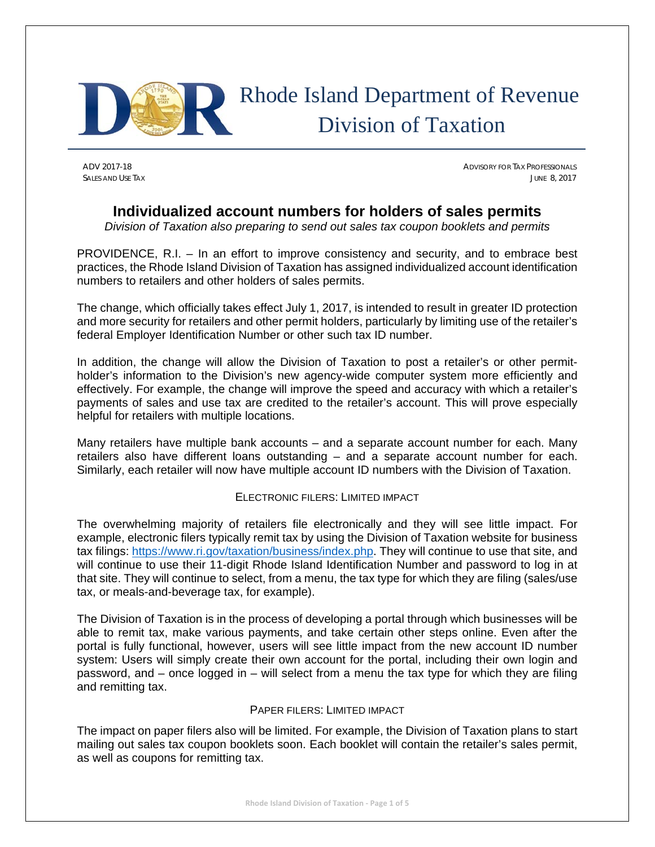

# Rhode Island Department of Revenue Division of Taxation

ADV 2017-18 ADVISORY FOR TAX PROFESSIONALS SALES AND USE TAX **SALES AND USE TAX** JUNE 8, 2017

# **Individualized account numbers for holders of sales permits**

*Division of Taxation also preparing to send out sales tax coupon booklets and permits* 

PROVIDENCE, R.I. – In an effort to improve consistency and security, and to embrace best practices, the Rhode Island Division of Taxation has assigned individualized account identification numbers to retailers and other holders of sales permits.

The change, which officially takes effect July 1, 2017, is intended to result in greater ID protection and more security for retailers and other permit holders, particularly by limiting use of the retailer's federal Employer Identification Number or other such tax ID number.

In addition, the change will allow the Division of Taxation to post a retailer's or other permitholder's information to the Division's new agency-wide computer system more efficiently and effectively. For example, the change will improve the speed and accuracy with which a retailer's payments of sales and use tax are credited to the retailer's account. This will prove especially helpful for retailers with multiple locations.

Many retailers have multiple bank accounts – and a separate account number for each. Many retailers also have different loans outstanding – and a separate account number for each. Similarly, each retailer will now have multiple account ID numbers with the Division of Taxation.

## ELECTRONIC FILERS: LIMITED IMPACT

The overwhelming majority of retailers file electronically and they will see little impact. For example, electronic filers typically remit tax by using the Division of Taxation website for business tax filings: https://www.ri.gov/taxation/business/index.php. They will continue to use that site, and will continue to use their 11-digit Rhode Island Identification Number and password to log in at that site. They will continue to select, from a menu, the tax type for which they are filing (sales/use tax, or meals-and-beverage tax, for example).

The Division of Taxation is in the process of developing a portal through which businesses will be able to remit tax, make various payments, and take certain other steps online. Even after the portal is fully functional, however, users will see little impact from the new account ID number system: Users will simply create their own account for the portal, including their own login and password, and – once logged in – will select from a menu the tax type for which they are filing and remitting tax.

#### PAPER FILERS: LIMITED IMPACT

The impact on paper filers also will be limited. For example, the Division of Taxation plans to start mailing out sales tax coupon booklets soon. Each booklet will contain the retailer's sales permit, as well as coupons for remitting tax.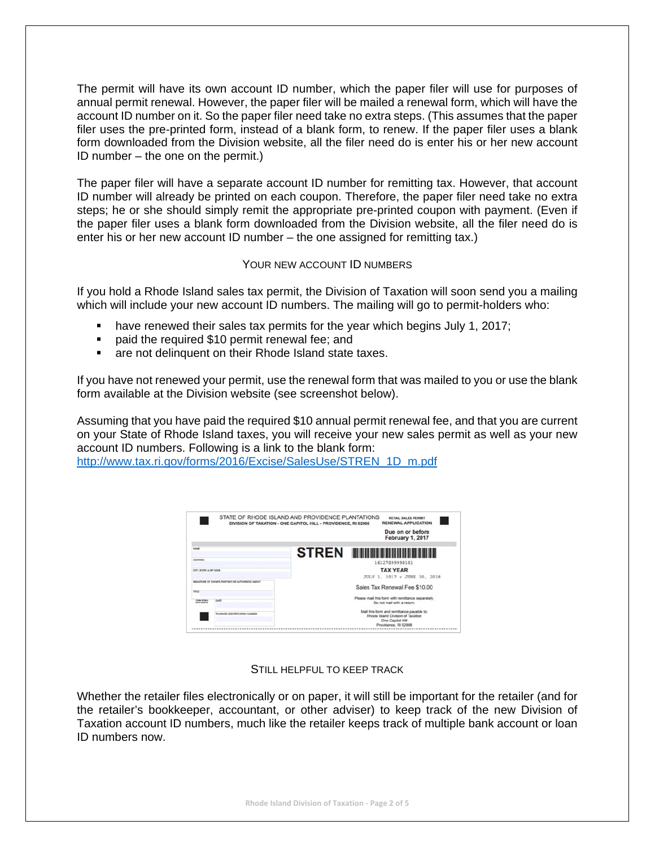The permit will have its own account ID number, which the paper filer will use for purposes of annual permit renewal. However, the paper filer will be mailed a renewal form, which will have the account ID number on it. So the paper filer need take no extra steps. (This assumes that the paper filer uses the pre-printed form, instead of a blank form, to renew. If the paper filer uses a blank form downloaded from the Division website, all the filer need do is enter his or her new account ID number – the one on the permit.)

The paper filer will have a separate account ID number for remitting tax. However, that account ID number will already be printed on each coupon. Therefore, the paper filer need take no extra steps; he or she should simply remit the appropriate pre-printed coupon with payment. (Even if the paper filer uses a blank form downloaded from the Division website, all the filer need do is enter his or her new account ID number – the one assigned for remitting tax.)

#### YOUR NEW ACCOUNT **ID NUMBERS**

If you hold a Rhode Island sales tax permit, the Division of Taxation will soon send you a mailing which will include your new account ID numbers. The mailing will go to permit-holders who:

- have renewed their sales tax permits for the year which begins July 1, 2017;
- **Paid the required \$10 permit renewal fee; and**
- **are not delinquent on their Rhode Island state taxes.**

If you have not renewed your permit, use the renewal form that was mailed to you or use the blank form available at the Division website (see screenshot below).

Assuming that you have paid the required \$10 annual permit renewal fee, and that you are current on your State of Rhode Island taxes, you will receive your new sales permit as well as your new account ID numbers. Following is a link to the blank form:

http://www.tax.ri.gov/forms/2016/Excise/SalesUse/STREN\_1D\_m.pdf



#### STILL HELPFUL TO KEEP TRACK

Whether the retailer files electronically or on paper, it will still be important for the retailer (and for the retailer's bookkeeper, accountant, or other adviser) to keep track of the new Division of Taxation account ID numbers, much like the retailer keeps track of multiple bank account or loan ID numbers now.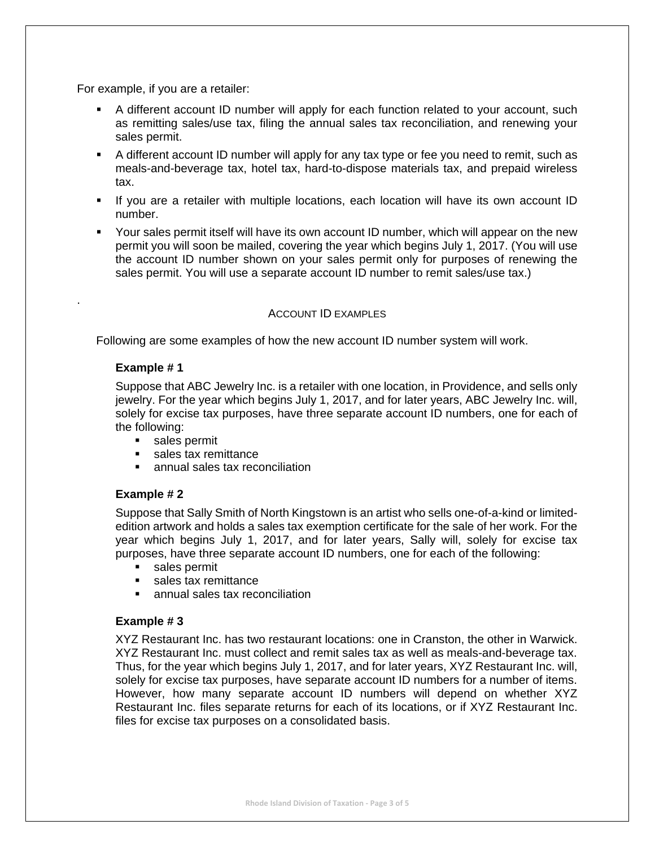For example, if you are a retailer:

- A different account ID number will apply for each function related to your account, such as remitting sales/use tax, filing the annual sales tax reconciliation, and renewing your sales permit.
- A different account ID number will apply for any tax type or fee you need to remit, such as meals-and-beverage tax, hotel tax, hard-to-dispose materials tax, and prepaid wireless tax.
- If you are a retailer with multiple locations, each location will have its own account ID number.
- Your sales permit itself will have its own account ID number, which will appear on the new permit you will soon be mailed, covering the year which begins July 1, 2017. (You will use the account ID number shown on your sales permit only for purposes of renewing the sales permit. You will use a separate account ID number to remit sales/use tax.)

#### ACCOUNT ID EXAMPLES

Following are some examples of how the new account ID number system will work.

#### **Example # 1**

.

Suppose that ABC Jewelry Inc. is a retailer with one location, in Providence, and sells only jewelry. For the year which begins July 1, 2017, and for later years, ABC Jewelry Inc. will, solely for excise tax purposes, have three separate account ID numbers, one for each of the following:

- sales permit
- **sales tax remittance**
- **EXEC** annual sales tax reconciliation

#### **Example # 2**

Suppose that Sally Smith of North Kingstown is an artist who sells one-of-a-kind or limitededition artwork and holds a sales tax exemption certificate for the sale of her work. For the year which begins July 1, 2017, and for later years, Sally will, solely for excise tax purposes, have three separate account ID numbers, one for each of the following:

- **sales permit**
- sales tax remittance
- **EXEC** annual sales tax reconciliation

#### **Example # 3**

XYZ Restaurant Inc. has two restaurant locations: one in Cranston, the other in Warwick. XYZ Restaurant Inc. must collect and remit sales tax as well as meals-and-beverage tax. Thus, for the year which begins July 1, 2017, and for later years, XYZ Restaurant Inc. will, solely for excise tax purposes, have separate account ID numbers for a number of items. However, how many separate account ID numbers will depend on whether XYZ Restaurant Inc. files separate returns for each of its locations, or if XYZ Restaurant Inc. files for excise tax purposes on a consolidated basis.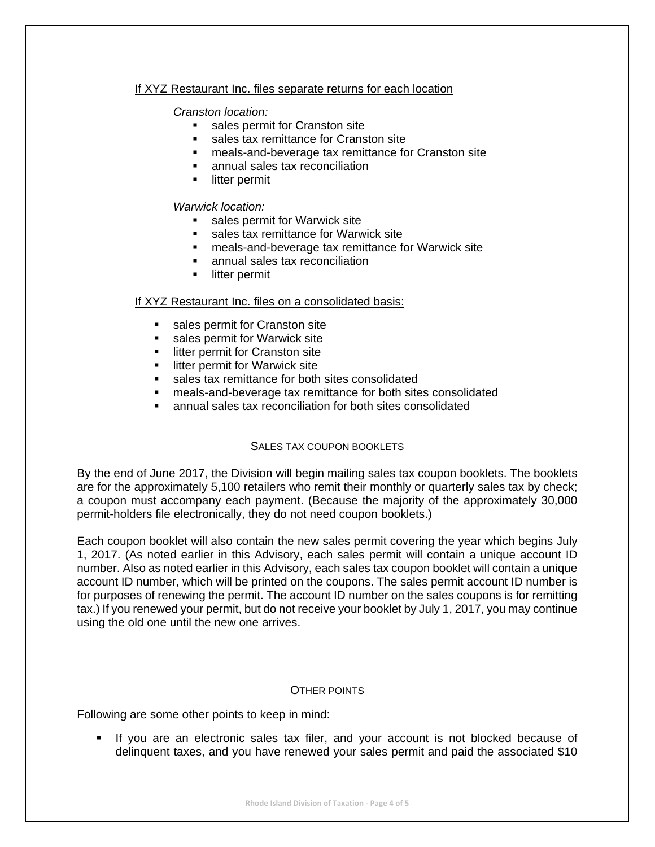#### If XYZ Restaurant Inc. files separate returns for each location

#### *Cranston location:*

- sales permit for Cranston site
- sales tax remittance for Cranston site
- meals-and-beverage tax remittance for Cranston site
- annual sales tax reconciliation
- **I** litter permit

#### *Warwick location:*

- sales permit for Warwick site
- sales tax remittance for Warwick site
- meals-and-beverage tax remittance for Warwick site
- annual sales tax reconciliation
- litter permit

#### If XYZ Restaurant Inc. files on a consolidated basis:

- **sales permit for Cranston site**
- **sales permit for Warwick site**<br>**EXECT** litter permit for Cranston site
- litter permit for Cranston site
- **EXEC** litter permit for Warwick site
- sales tax remittance for both sites consolidated
- meals-and-beverage tax remittance for both sites consolidated
- annual sales tax reconciliation for both sites consolidated

## SALES TAX COUPON BOOKLETS

By the end of June 2017, the Division will begin mailing sales tax coupon booklets. The booklets are for the approximately 5,100 retailers who remit their monthly or quarterly sales tax by check; a coupon must accompany each payment. (Because the majority of the approximately 30,000 permit-holders file electronically, they do not need coupon booklets.)

Each coupon booklet will also contain the new sales permit covering the year which begins July 1, 2017. (As noted earlier in this Advisory, each sales permit will contain a unique account ID number. Also as noted earlier in this Advisory, each sales tax coupon booklet will contain a unique account ID number, which will be printed on the coupons. The sales permit account ID number is for purposes of renewing the permit. The account ID number on the sales coupons is for remitting tax.) If you renewed your permit, but do not receive your booklet by July 1, 2017, you may continue using the old one until the new one arrives.

#### OTHER POINTS

Following are some other points to keep in mind:

 If you are an electronic sales tax filer, and your account is not blocked because of delinquent taxes, and you have renewed your sales permit and paid the associated \$10